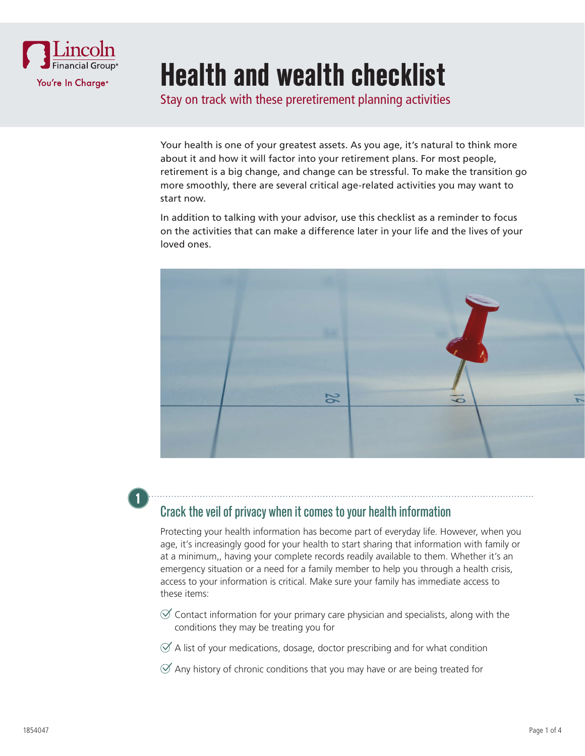

# **Health and wealth checklist**

Stay on track with these preretirement planning activities

Your health is one of your greatest assets. As you age, it's natural to think more about it and how it will factor into your retirement plans. For most people, retirement is a big change, and change can be stressful. To make the transition go more smoothly, there are several critical age-related activities you may want to start now.

In addition to talking with your advisor, use this checklist as a reminder to focus on the activities that can make a difference later in your life and the lives of your loved ones.



### **1**

#### Crack the veil of privacy when it comes to your health information

Protecting your health information has become part of everyday life. However, when you age, it's increasingly good for your health to start sharing that information with family or at a minimum,, having your complete records readily available to them. Whether it's an emergency situation or a need for a family member to help you through a health crisis, access to your information is critical. Make sure your family has immediate access to these items:

- $\mathcal O$  Contact information for your primary care physician and specialists, along with the conditions they may be treating you for
- $\mathcal A$  A list of your medications, dosage, doctor prescribing and for what condition
- $\mathcal A$  Any history of chronic conditions that you may have or are being treated for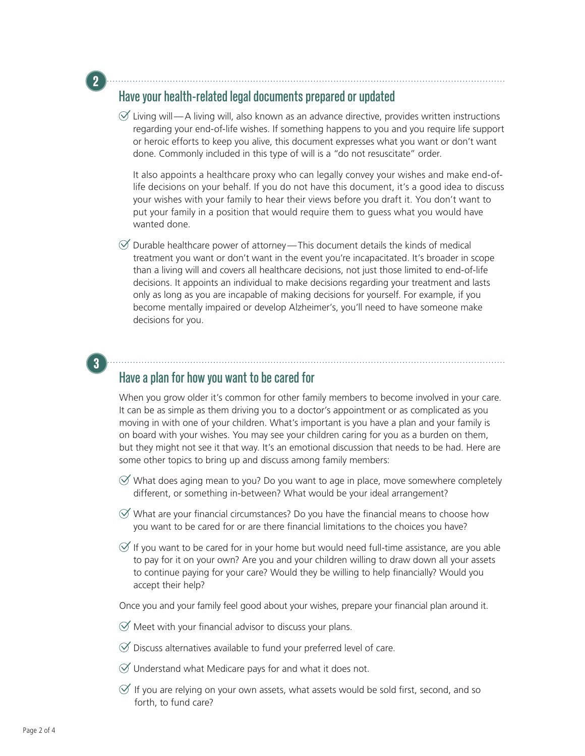#### Have your health-related legal documents prepared or updated

**2**

**3**

 $\mathcal{A}$  Living will—A living will, also known as an advance directive, provides written instructions regarding your end-of-life wishes. If something happens to you and you require life support or heroic efforts to keep you alive, this document expresses what you want or don't want done. Commonly included in this type of will is a "do not resuscitate" order.

It also appoints a healthcare proxy who can legally convey your wishes and make end-oflife decisions on your behalf. If you do not have this document, it's a good idea to discuss your wishes with your family to hear their views before you draft it. You don't want to put your family in a position that would require them to guess what you would have wanted done.

 $\mathcal O$  Durable healthcare power of attorney—This document details the kinds of medical treatment you want or don't want in the event you're incapacitated. It's broader in scope than a living will and covers all healthcare decisions, not just those limited to end-of-life decisions. It appoints an individual to make decisions regarding your treatment and lasts only as long as you are incapable of making decisions for yourself. For example, if you become mentally impaired or develop Alzheimer's, you'll need to have someone make decisions for you.

## Have a plan for how you want to be cared for

When you grow older it's common for other family members to become involved in your care. It can be as simple as them driving you to a doctor's appointment or as complicated as you moving in with one of your children. What's important is you have a plan and your family is on board with your wishes. You may see your children caring for you as a burden on them, but they might not see it that way. It's an emotional discussion that needs to be had. Here are some other topics to bring up and discuss among family members:

- $\mathcal O$  What does aging mean to you? Do you want to age in place, move somewhere completely different, or something in-between? What would be your ideal arrangement?
- $\mathcal G$  What are your financial circumstances? Do you have the financial means to choose how you want to be cared for or are there financial limitations to the choices you have?
- $\mathcal O$  If you want to be cared for in your home but would need full-time assistance, are you able to pay for it on your own? Are you and your children willing to draw down all your assets to continue paying for your care? Would they be willing to help financially? Would you accept their help?

Once you and your family feel good about your wishes, prepare your financial plan around it.

- $\mathcal O$  Meet with your financial advisor to discuss your plans.
- $\mathcal O$  Discuss alternatives available to fund your preferred level of care.
- $\mathcal O$  Understand what Medicare pays for and what it does not.
- $\mathcal O$  If you are relying on your own assets, what assets would be sold first, second, and so forth, to fund care?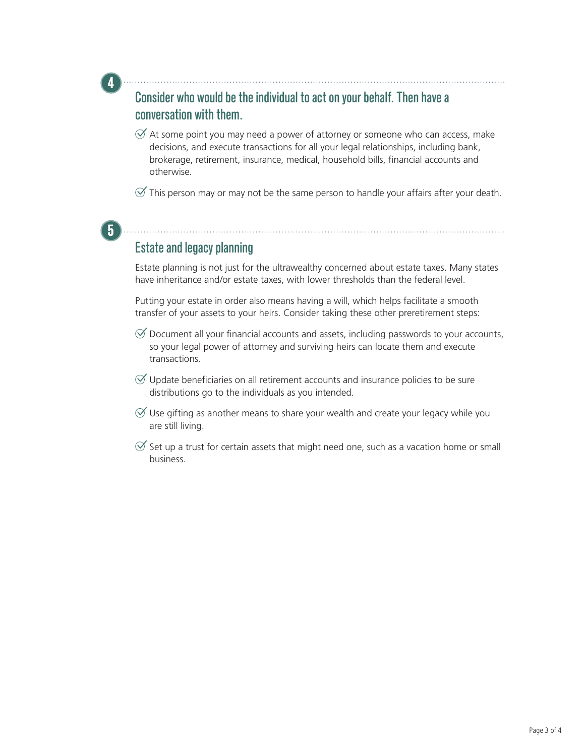### Consider who would be the individual to act on your behalf. Then have a conversation with them.

- $\mathcal A$  At some point you may need a power of attorney or someone who can access, make decisions, and execute transactions for all your legal relationships, including bank, brokerage, retirement, insurance, medical, household bills, financial accounts and otherwise.
- $\mathcal O$  This person may or may not be the same person to handle your affairs after your death.

### Estate and legacy planning

**5**

**4**

Estate planning is not just for the ultrawealthy concerned about estate taxes. Many states have inheritance and/or estate taxes, with lower thresholds than the federal level.

Putting your estate in order also means having a will, which helps facilitate a smooth transfer of your assets to your heirs. Consider taking these other preretirement steps:

- $\mathcal O$  Document all your financial accounts and assets, including passwords to your accounts, so your legal power of attorney and surviving heirs can locate them and execute transactions.
- $\varnothing$  Update beneficiaries on all retirement accounts and insurance policies to be sure distributions go to the individuals as you intended.
- $\mathcal O$  Use gifting as another means to share your wealth and create your legacy while you are still living.
- $\mathcal O$  Set up a trust for certain assets that might need one, such as a vacation home or small business.